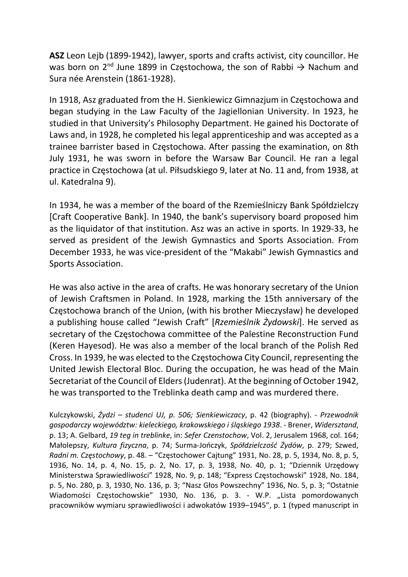ASZ Leon Lejb (1899-1942), lawyer, sports and crafts activist, city councillor. He was born on 2<sup>nd</sup> June 1899 in Częstochowa, the son of Rabbi  $\rightarrow$  Nachum and Sura née Arenstein (1861-1928).

In 1918, Asz graduated from the H. Sienkiewicz Gimnazjum in Częstochowa and began studying in the Law Faculty of the Jagiellonian University. In 1923, he studied in that University's Philosophy Department. He gained his Doctorate of Laws and, in 1928, he completed his legal apprenticeship and was accepted as a trainee barrister based in Częstochowa. After passing the examination, on 8th July 1931, he was sworn in before the Warsaw Bar Council. He ran a legal practice in Częstochowa (at ul. Piłsudskiego 9, later at No. 11 and, from 1938, at ul. Katedralna 9).

In 1934, he was a member of the board of the Rzemieślniczy Bank Spółdzielczy [Craft Cooperative Bank]. In 1940, the bank's supervisory board proposed him as the liquidator of that institution. Asz was an active in sports. In 1929-33, he served as president of the Jewish Gymnastics and Sports Association. From December 1933, he was vice-president of the "Makabi" Jewish Gymnastics and Sports Association.

He was also active in the area of crafts. He was honorary secretary of the Union of Jewish Craftsmen in Poland. In 1928, marking the 15th anniversary of the Częstochowa branch of the Union, (with his brother Mieczysław) he developed a publishing house called "Jewish Craft" [Rzemieślnik Żydowski]. He served as secretary of the Częstochowa committee of the Palestine Reconstruction Fund (Keren Hayesod). He was also a member of the local branch of the Polish Red Cross. In 1939, he was elected to the Częstochowa City Council, representing the United Jewish Electoral Bloc. During the occupation, he was head of the Main Secretariat of the Council of Elders (Judenrat). At the beginning of October 1942, he was transported to the Treblinka death camp and was murdered there.

Kulczykowski, Żydzi – studenci UJ, p. 506; Sienkiewiczacy, p. 42 (biography). - Przewodnik gospodarczy województw: kieleckiego, krakowskiego i śląskiego 1938. - Brener, Widersztand, p. 13; A. Gelbard, 19 teg in treblinke, in: Sefer Czenstochow, Vol. 2, Jerusalem 1968, col. 164; Małolepszy, Kultura fizyczna, p. 74; Surma-Jończyk, Spółdzielczość Żydów, p. 279; Szwed, Radni m. Częstochowy, p. 48. – "Częstochower Cajtung" 1931, No. 28, p. 5, 1934, No. 8, p. 5, 1936, No. 14, p. 4, No. 15, p. 2, No. 17, p. 3, 1938, No. 40, p. 1; "Dziennik Urzędowy Ministerstwa Sprawiedliwości" 1928, No. 9, p. 148; "Express Częstochowski" 1928, No. 184, p. 5, No. 280, p. 3, 1930, No. 136, p. 3; "Nasz Głos Powszechny" 1936, No. 5, p. 3; "Ostatnie Wiadomości Częstochowskie" 1930, No. 136, p. 3. - W.P. "Lista pomordowanych pracowników wymiaru sprawiedliwości i adwokatów 1939–1945", p. 1 (typed manuscript in